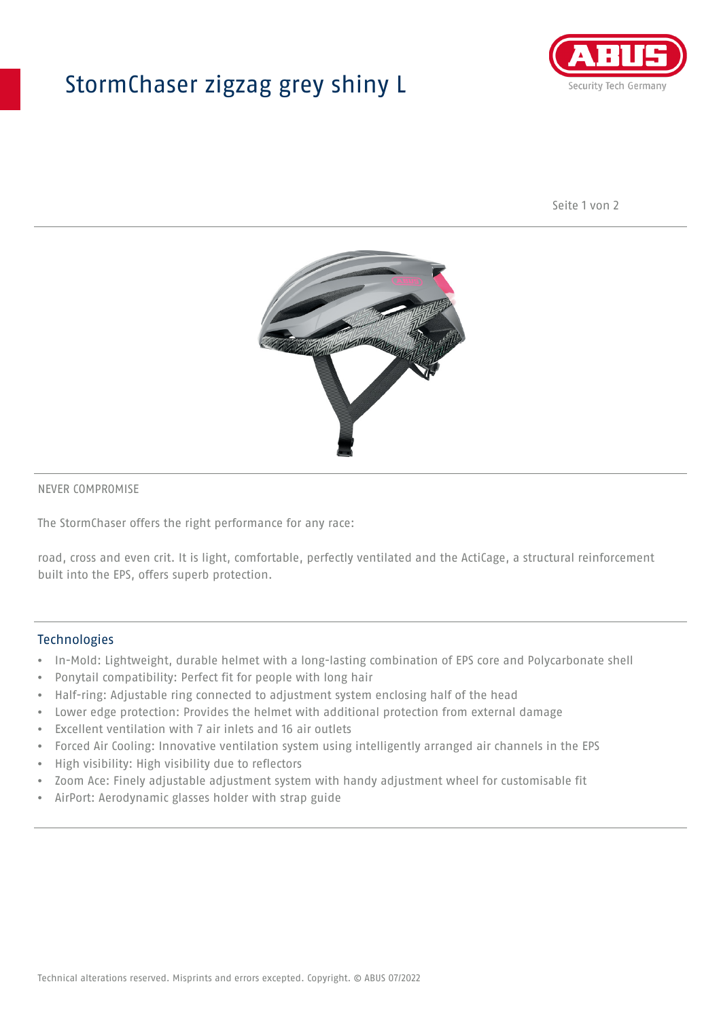## StormChaser zigzag grey shiny L



Seite 1 von 2



#### NEVER COMPROMISE

The StormChaser offers the right performance for any race:

road, cross and even crit. It is light, comfortable, perfectly ventilated and the ActiCage, a structural reinforcement built into the EPS, offers superb protection.

#### **Technologies**

- In-Mold: Lightweight, durable helmet with a long-lasting combination of EPS core and Polycarbonate shell
- Ponytail compatibility: Perfect fit for people with long hair
- Half-ring: Adjustable ring connected to adjustment system enclosing half of the head
- Lower edge protection: Provides the helmet with additional protection from external damage
- Excellent ventilation with 7 air inlets and 16 air outlets
- Forced Air Cooling: Innovative ventilation system using intelligently arranged air channels in the EPS
- High visibility: High visibility due to reflectors
- Zoom Ace: Finely adjustable adjustment system with handy adjustment wheel for customisable fit
- AirPort: Aerodynamic glasses holder with strap guide